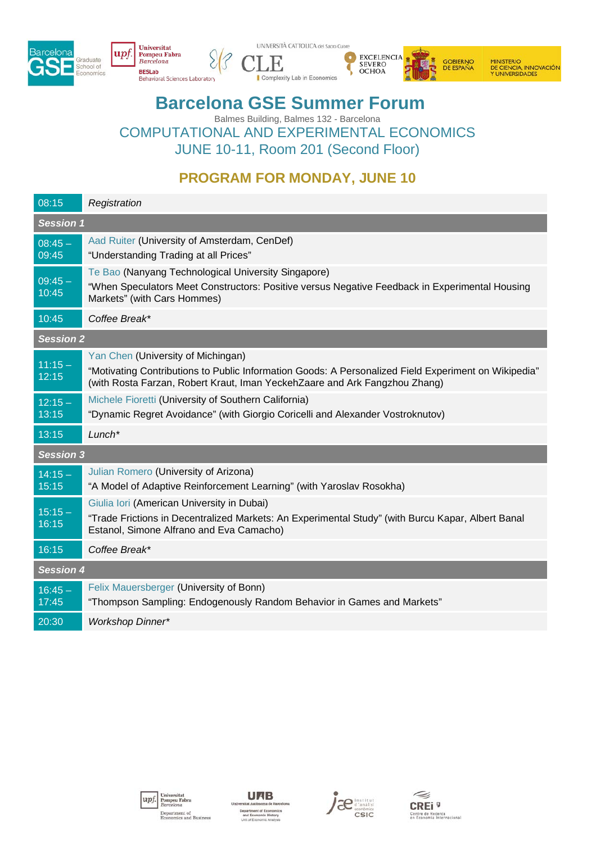





MINISTERIO<br>DE CIENCIA, INNOVACIÓN<br>Y UNIVERSIDADES

## **Barcelona GSE Summer Forum**

Balmes Building, Balmes 132 - Barcelona COMPUTATIONAL AND EXPERIMENTAL ECONOMICS JUNE 10-11, Room 201 (Second Floor)

## **PROGRAM FOR MONDAY, JUNE 10**

| 08:15              | Registration                                                                                                                                                                                                             |  |
|--------------------|--------------------------------------------------------------------------------------------------------------------------------------------------------------------------------------------------------------------------|--|
| <b>Session 1</b>   |                                                                                                                                                                                                                          |  |
| $08:45 -$<br>09:45 | Aad Ruiter (University of Amsterdam, CenDef)<br>"Understanding Trading at all Prices"                                                                                                                                    |  |
| $09:45 -$<br>10:45 | Te Bao (Nanyang Technological University Singapore)<br>"When Speculators Meet Constructors: Positive versus Negative Feedback in Experimental Housing<br>Markets" (with Cars Hommes)                                     |  |
| 10:45              | Coffee Break*                                                                                                                                                                                                            |  |
| <b>Session 2</b>   |                                                                                                                                                                                                                          |  |
| $11:15 -$<br>12:15 | Yan Chen (University of Michingan)<br>"Motivating Contributions to Public Information Goods: A Personalized Field Experiment on Wikipedia"<br>(with Rosta Farzan, Robert Kraut, Iman YeckehZaare and Ark Fangzhou Zhang) |  |
| $12:15 -$<br>13:15 | Michele Fioretti (University of Southern California)<br>"Dynamic Regret Avoidance" (with Giorgio Coricelli and Alexander Vostroknutov)                                                                                   |  |
| 13:15              | $Lunch*$                                                                                                                                                                                                                 |  |
| <b>Session 3</b>   |                                                                                                                                                                                                                          |  |
| $14:15 -$<br>15:15 | Julian Romero (University of Arizona)<br>"A Model of Adaptive Reinforcement Learning" (with Yaroslav Rosokha)                                                                                                            |  |
| $15:15 -$<br>16:15 | Giulia Iori (American University in Dubai)<br>"Trade Frictions in Decentralized Markets: An Experimental Study" (with Burcu Kapar, Albert Banal<br>Estanol, Simone Alfrano and Eva Camacho)                              |  |
| 16:15              | Coffee Break*                                                                                                                                                                                                            |  |
| <b>Session 4</b>   |                                                                                                                                                                                                                          |  |
| $16:45 -$<br>17:45 | Felix Mauersberger (University of Bonn)<br>"Thompson Sampling: Endogenously Random Behavior in Games and Markets"                                                                                                        |  |
| 20:30              | <b>Workshop Dinner*</b>                                                                                                                                                                                                  |  |